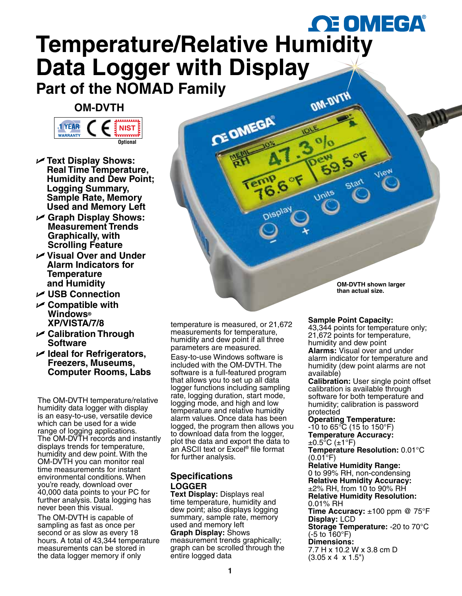# *OE* OMEGA® **[Temperature/Relative Humidity](www.omega.com)  Data Logger with Display**

**CE OMEGA** 

## **Part of the NOMAD Family**

### **OM-DVTH**



- U **Text Display Shows: Real Time Temperature, Humidity and Dew Point; Logging Summary, Sample Rate, Memory Used and Memory Left**
- U **Graph Display Shows: Measurement Trends Graphically, with Scrolling Feature**
- U **Visual Over and Under Alarm Indicators for Temperature and Humidity**
- U **USB Connection**
- U **Compatible with Windows® XP/VISTA/7/8**
- U **Calibration Through Software**
- U **Ideal for Refrigerators, Freezers, Museums, Computer Rooms, Labs**

The OM-DVTH temperature/relative humidity data logger with display is an easy-to-use, versatile device which can be used for a wide range of logging applications. The OM-DVTH records and instantly displays trends for temperature, humidity and dew point. With the OM-DVTH you can monitor real time measurements for instant environmental conditions. When you're ready, download over 40,000 data points to your PC for further analysis. Data logging has never been this visual.

The OM-DVTH is capable of sampling as fast as once per second or as slow as every 18 hours. A total of 43,344 temperature measurements can be stored in the data logger memory if only

temperature is measured, or 21,672 measurements for temperature, humidity and dew point if all three parameters are measured.

Easy-to-use Windows software is included with the OM-DVTH. The software is a full-featured program that allows you to set up all data logger functions including sampling rate, logging duration, start mode, logging mode, and high and low temperature and relative humidity alarm values. Once data has been logged, the program then allows you to download data from the logger, plot the data and export the data to an ASCII text or Excel® file format for further analysis.

### **Specifications Logger**

**Text Display:** Displays real time temperature, humidity and dew point; also displays logging summary, sample rate, memory used and memory left **Graph Display:** Shows measurement trends graphically; graph can be scrolled through the entire logged data

**OM-DVTH shown larger than actual size.**

#### **Sample Point Capacity:**

**OM-DVT** 

Unils

43,344 points for temperature only; 21,672 points for temperature, humidity and dew point **Alarms:** Visual over and under alarm indicator for temperature and humidity (dew point alarms are not available)

**Calibration:** User single point offset calibration is available through software for both temperature and humidity; calibration is password protected

#### **Operating Temperature:**

 $-10$  to 65 $\degree$ C (15 to 150 $\degree$ F) **Temperature Accuracy:**  $\pm 0.5^{\circ}$ C ( $\pm 1^{\circ}$ F)

**Temperature Resolution:** 0.01°C  $(0.01^{\circ}F)$ 

**Relative Humidity Range:** 0 to 99% RH, non-condensing

**Relative Humidity Accuracy:**  $\pm$ 2% RH, from 10 to 90% RH **Relative Humidity Resolution:** 0.01% RH **Time Accuracy:** ±100 ppm @ 75°F

**Display:** LCD **Storage Temperature:** -20 to 70°C  $(-5 \text{ to } 160^{\circ}F)$ 

**Dimensions:**

7.7 H x 10.2 W x 3.8 cm D (3.05 x 4 x 1.5")